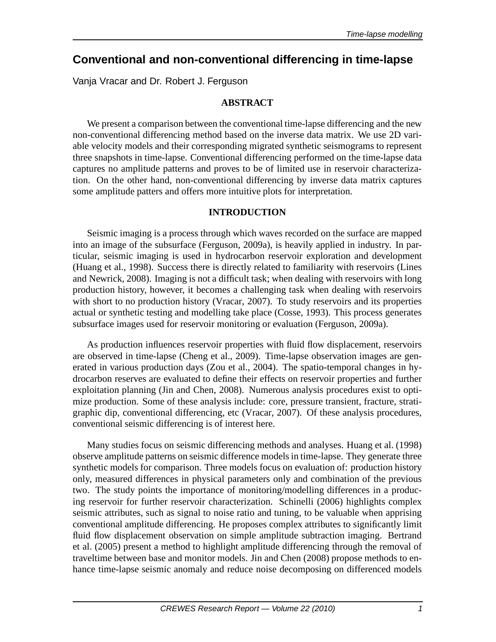# **Conventional and non-conventional differencing in time-lapse**

Vanja Vracar and Dr. Robert J. Ferguson

## **ABSTRACT**

We present a comparison between the conventional time-lapse differencing and the new non-conventional differencing method based on the inverse data matrix. We use 2D variable velocity models and their corresponding migrated synthetic seismograms to represent three snapshots in time-lapse. Conventional differencing performed on the time-lapse data captures no amplitude patterns and proves to be of limited use in reservoir characterization. On the other hand, non-conventional differencing by inverse data matrix captures some amplitude patters and offers more intuitive plots for interpretation.

# **INTRODUCTION**

Seismic imaging is a process through which waves recorded on the surface are mapped into an image of the subsurface (Ferguson, 2009a), is heavily applied in industry. In particular, seismic imaging is used in hydrocarbon reservoir exploration and development (Huang et al., 1998). Success there is directly related to familiarity with reservoirs (Lines and Newrick, 2008). Imaging is not a difficult task; when dealing with reservoirs with long production history, however, it becomes a challenging task when dealing with reservoirs with short to no production history (Vracar, 2007). To study reservoirs and its properties actual or synthetic testing and modelling take place (Cosse, 1993). This process generates subsurface images used for reservoir monitoring or evaluation (Ferguson, 2009a).

As production influences reservoir properties with fluid flow displacement, reservoirs are observed in time-lapse (Cheng et al., 2009). Time-lapse observation images are generated in various production days (Zou et al., 2004). The spatio-temporal changes in hydrocarbon reserves are evaluated to define their effects on reservoir properties and further exploitation planning (Jin and Chen, 2008). Numerous analysis procedures exist to optimize production. Some of these analysis include: core, pressure transient, fracture, stratigraphic dip, conventional differencing, etc (Vracar, 2007). Of these analysis procedures, conventional seismic differencing is of interest here.

Many studies focus on seismic differencing methods and analyses. Huang et al. (1998) observe amplitude patterns on seismic difference models in time-lapse. They generate three synthetic models for comparison. Three models focus on evaluation of: production history only, measured differences in physical parameters only and combination of the previous two. The study points the importance of monitoring/modelling differences in a producing reservoir for further reservoir characterization. Schinelli (2006) highlights complex seismic attributes, such as signal to noise ratio and tuning, to be valuable when apprising conventional amplitude differencing. He proposes complex attributes to significantly limit fluid flow displacement observation on simple amplitude subtraction imaging. Bertrand et al. (2005) present a method to highlight amplitude differencing through the removal of traveltime between base and monitor models. Jin and Chen (2008) propose methods to enhance time-lapse seismic anomaly and reduce noise decomposing on differenced models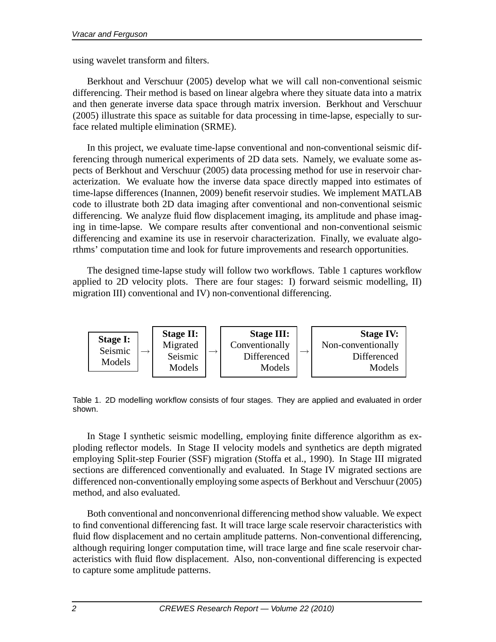using wavelet transform and filters.

Berkhout and Verschuur (2005) develop what we will call non-conventional seismic differencing. Their method is based on linear algebra where they situate data into a matrix and then generate inverse data space through matrix inversion. Berkhout and Verschuur (2005) illustrate this space as suitable for data processing in time-lapse, especially to surface related multiple elimination (SRME).

In this project, we evaluate time-lapse conventional and non-conventional seismic differencing through numerical experiments of 2D data sets. Namely, we evaluate some aspects of Berkhout and Verschuur (2005) data processing method for use in reservoir characterization. We evaluate how the inverse data space directly mapped into estimates of time-lapse differences (Inannen, 2009) benefit reservoir studies. We implement MATLAB code to illustrate both 2D data imaging after conventional and non-conventional seismic differencing. We analyze fluid flow displacement imaging, its amplitude and phase imaging in time-lapse. We compare results after conventional and non-conventional seismic differencing and examine its use in reservoir characterization. Finally, we evaluate algorthms' computation time and look for future improvements and research opportunities.

The designed time-lapse study will follow two workflows. Table 1 captures workflow applied to 2D velocity plots. There are four stages: I) forward seismic modelling, II) migration III) conventional and IV) non-conventional differencing.



Table 1. 2D modelling workflow consists of four stages. They are applied and evaluated in order shown.

In Stage I synthetic seismic modelling, employing finite difference algorithm as exploding reflector models. In Stage II velocity models and synthetics are depth migrated employing Split-step Fourier (SSF) migration (Stoffa et al., 1990). In Stage III migrated sections are differenced conventionally and evaluated. In Stage IV migrated sections are differenced non-conventionally employing some aspects of Berkhout and Verschuur (2005) method, and also evaluated.

Both conventional and nonconvenrional differencing method show valuable. We expect to find conventional differencing fast. It will trace large scale reservoir characteristics with fluid flow displacement and no certain amplitude patterns. Non-conventional differencing, although requiring longer computation time, will trace large and fine scale reservoir characteristics with fluid flow displacement. Also, non-conventional differencing is expected to capture some amplitude patterns.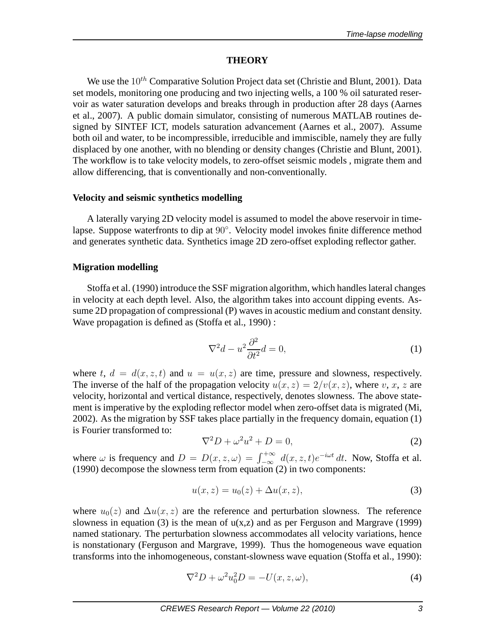#### **THEORY**

We use the  $10^{th}$  Comparative Solution Project data set (Christie and Blunt, 2001). Data set models, monitoring one producing and two injecting wells, a 100 % oil saturated reservoir as water saturation develops and breaks through in production after 28 days (Aarnes et al., 2007). A public domain simulator, consisting of numerous MATLAB routines designed by SINTEF ICT, models saturation advancement (Aarnes et al., 2007). Assume both oil and water, to be incompressible, irreducible and immiscible, namely they are fully displaced by one another, with no blending or density changes (Christie and Blunt, 2001). The workflow is to take velocity models, to zero-offset seismic models , migrate them and allow differencing, that is conventionally and non-conventionally.

#### **Velocity and seismic synthetics modelling**

A laterally varying 2D velocity model is assumed to model the above reservoir in timelapse. Suppose waterfronts to dip at 90◦ . Velocity model invokes finite difference method and generates synthetic data. Synthetics image 2D zero-offset exploding reflector gather.

## **Migration modelling**

Stoffa et al. (1990) introduce the SSF migration algorithm, which handles lateral changes in velocity at each depth level. Also, the algorithm takes into account dipping events. Assume 2D propagation of compressional (P) waves in acoustic medium and constant density. Wave propagation is defined as (Stoffa et al., 1990) :

$$
\nabla^2 d - u^2 \frac{\partial^2}{\partial t^2} d = 0,\tag{1}
$$

where t,  $d = d(x, z, t)$  and  $u = u(x, z)$  are time, pressure and slowness, respectively. The inverse of the half of the propagation velocity  $u(x, z) = 2/v(x, z)$ , where v, x, z are velocity, horizontal and vertical distance, respectively, denotes slowness. The above statement is imperative by the exploding reflector model when zero-offset data is migrated (Mi, 2002). As the migration by SSF takes place partially in the frequency domain, equation (1) is Fourier transformed to:

$$
\nabla^2 D + \omega^2 u^2 + D = 0,\tag{2}
$$

where  $\omega$  is frequency and  $D = D(x, z, \omega) = \int_{-\infty}^{+\infty} d(x, z, t)e^{-i\omega t} dt$ . Now, Stoffa et al. (1990) decompose the slowness term from equation (2) in two components:

$$
u(x, z) = u_0(z) + \Delta u(x, z),
$$
\n(3)

where  $u_0(z)$  and  $\Delta u(x, z)$  are the reference and perturbation slowness. The reference slowness in equation (3) is the mean of  $u(x,z)$  and as per Ferguson and Margrave (1999) named stationary. The perturbation slowness accommodates all velocity variations, hence is nonstationary (Ferguson and Margrave, 1999). Thus the homogeneous wave equation transforms into the inhomogeneous, constant-slowness wave equation (Stoffa et al., 1990):

$$
\nabla^2 D + \omega^2 u_0^2 D = -U(x, z, \omega),\tag{4}
$$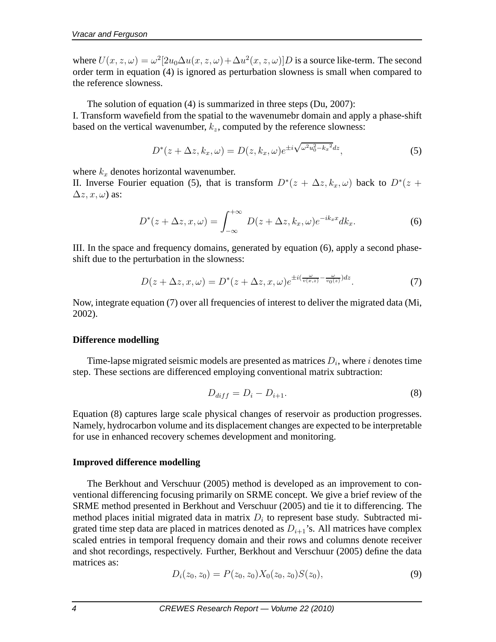where  $U(x, z, \omega) = \omega^2[2u_0\Delta u(x, z, \omega) + \Delta u^2(x, z, \omega)]D$  is a source like-term. The second order term in equation (4) is ignored as perturbation slowness is small when compared to the reference slowness.

The solution of equation (4) is summarized in three steps (Du, 2007):

I. Transform wavefield from the spatial to the wavenumebr domain and apply a phase-shift based on the vertical wavenumber,  $k_z$ , computed by the reference slowness:

$$
D^*(z+\Delta z,k_x,\omega)=D(z,k_x,\omega)e^{\pm i\sqrt{\omega^2u_0^2-k_x^2}dz},\qquad(5)
$$

where  $k_x$  denotes horizontal wavenumber.

II. Inverse Fourier equation (5), that is transform  $D^{*}(z + \Delta z, k_x, \omega)$  back to  $D^{*}(z + \Delta z, k_y, \omega)$  $\Delta z, x, \omega$ ) as:

$$
D^*(z + \Delta z, x, \omega) = \int_{-\infty}^{+\infty} D(z + \Delta z, k_x, \omega) e^{-ik_x x} dk_x.
$$
 (6)

III. In the space and frequency domains, generated by equation (6), apply a second phaseshift due to the perturbation in the slowness:

$$
D(z + \Delta z, x, \omega) = D^*(z + \Delta z, x, \omega) e^{\pm i(\frac{\omega}{v(x, z)} - \frac{\omega}{v_0(z)})dz}.
$$
 (7)

Now, integrate equation (7) over all frequencies of interest to deliver the migrated data (Mi, 2002).

## **Difference modelling**

Time-lapse migrated seismic models are presented as matrices  $D_i$ , where i denotes time step. These sections are differenced employing conventional matrix subtraction:

$$
D_{diff} = D_i - D_{i+1}.\tag{8}
$$

Equation (8) captures large scale physical changes of reservoir as production progresses. Namely, hydrocarbon volume and its displacement changes are expected to be interpretable for use in enhanced recovery schemes development and monitoring.

## **Improved difference modelling**

The Berkhout and Verschuur (2005) method is developed as an improvement to conventional differencing focusing primarily on SRME concept. We give a brief review of the SRME method presented in Berkhout and Verschuur (2005) and tie it to differencing. The method places initial migrated data in matrix  $D_i$  to represent base study. Subtracted migrated time step data are placed in matrices denoted as  $D_{i+1}$ 's. All matrices have complex scaled entries in temporal frequency domain and their rows and columns denote receiver and shot recordings, respectively. Further, Berkhout and Verschuur (2005) define the data matrices as:

$$
D_i(z_0, z_0) = P(z_0, z_0) X_0(z_0, z_0) S(z_0), \tag{9}
$$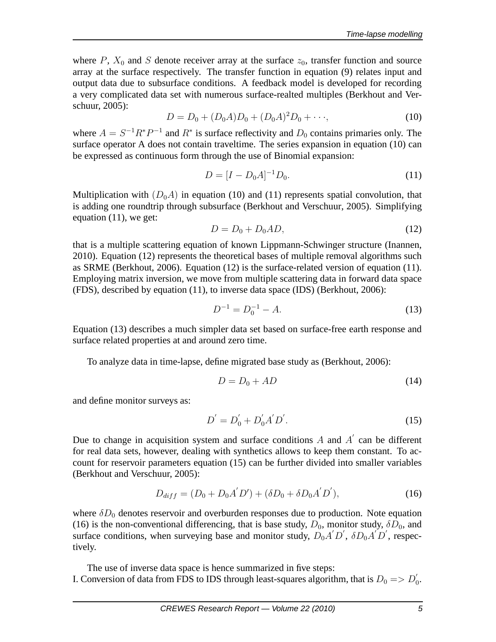where P,  $X_0$  and S denote receiver array at the surface  $z_0$ , transfer function and source array at the surface respectively. The transfer function in equation (9) relates input and output data due to subsurface conditions. A feedback model is developed for recording a very complicated data set with numerous surface-realted multiples (Berkhout and Verschuur, 2005):

$$
D = D_0 + (D_0 A)D_0 + (D_0 A)^2 D_0 + \cdots,
$$
\n(10)

where  $A = S^{-1}R^*P^{-1}$  and  $R^*$  is surface reflectivity and  $D_0$  contains primaries only. The surface operator A does not contain traveltime. The series expansion in equation (10) can be expressed as continuous form through the use of Binomial expansion:

$$
D = [I - D_0 A]^{-1} D_0.
$$
\n(11)

Multiplication with  $(D_0A)$  in equation (10) and (11) represents spatial convolution, that is adding one roundtrip through subsurface (Berkhout and Verschuur, 2005). Simplifying equation (11), we get:

$$
D = D_0 + D_0 A D,\t\t(12)
$$

that is a multiple scattering equation of known Lippmann-Schwinger structure (Inannen, 2010). Equation (12) represents the theoretical bases of multiple removal algorithms such as SRME (Berkhout, 2006). Equation (12) is the surface-related version of equation (11). Employing matrix inversion, we move from multiple scattering data in forward data space (FDS), described by equation (11), to inverse data space (IDS) (Berkhout, 2006):

$$
D^{-1} = D_0^{-1} - A.
$$
 (13)

Equation (13) describes a much simpler data set based on surface-free earth response and surface related properties at and around zero time.

To analyze data in time-lapse, define migrated base study as (Berkhout, 2006):

$$
D = D_0 + AD \tag{14}
$$

and define monitor surveys as:

$$
D' = D'_0 + D'_0 A' D'. \tag{15}
$$

Due to change in acquisition system and surface conditions  $A$  and  $A'$  can be different for real data sets, however, dealing with synthetics allows to keep them constant. To account for reservoir parameters equation (15) can be further divided into smaller variables (Berkhout and Verschuur, 2005):

$$
D_{diff} = (D_0 + D_0 A' D') + (\delta D_0 + \delta D_0 A' D'), \qquad (16)
$$

where  $\delta D_0$  denotes reservoir and overburden responses due to production. Note equation (16) is the non-conventional differencing, that is base study,  $D_0$ , monitor study,  $\delta D_0$ , and surface conditions, when surveying base and monitor study,  $D_0 A' D'$ ,  $\delta D_0 A' D'$ , respectively.

The use of inverse data space is hence summarized in five steps: I. Conversion of data from FDS to IDS through least-squares algorithm, that is  $D_0 \Rightarrow D'_0$ .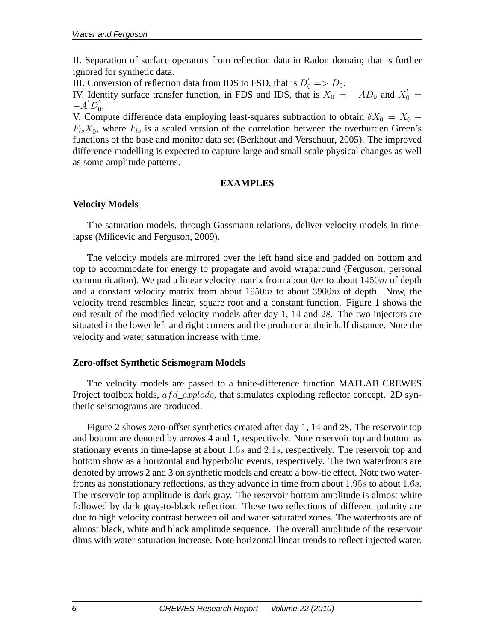II. Separation of surface operators from reflection data in Radon domain; that is further ignored for synthetic data.

III. Conversion of reflection data from IDS to FSD, that is  $D'_0 \Rightarrow D_0$ .

IV. Identify surface transfer function, in FDS and IDS, that is  $X_0 = -AD_0$  and  $X'_0 =$  $-A'D'_0.$ 

V. Compute difference data employing least-squares subtraction to obtain  $\delta X_0 = X_0 F_{ls}X_0'$  $\zeta_0$ , where  $F_{ls}$  is a scaled version of the correlation between the overburden Green's functions of the base and monitor data set (Berkhout and Verschuur, 2005). The improved difference modelling is expected to capture large and small scale physical changes as well as some amplitude patterns.

## **EXAMPLES**

# **Velocity Models**

The saturation models, through Gassmann relations, deliver velocity models in timelapse (Milicevic and Ferguson, 2009).

The velocity models are mirrored over the left hand side and padded on bottom and top to accommodate for energy to propagate and avoid wraparound (Ferguson, personal communication). We pad a linear velocity matrix from about  $0m$  to about  $1450m$  of depth and a constant velocity matrix from about  $1950m$  to about  $3900m$  of depth. Now, the velocity trend resembles linear, square root and a constant function. Figure 1 shows the end result of the modified velocity models after day 1, 14 and 28. The two injectors are situated in the lower left and right corners and the producer at their half distance. Note the velocity and water saturation increase with time.

## **Zero-offset Synthetic Seismogram Models**

The velocity models are passed to a finite-difference function MATLAB CREWES Project toolbox holds,  $afd\_explode$ , that simulates exploding reflector concept. 2D synthetic seismograms are produced.

Figure 2 shows zero-offset synthetics created after day 1, 14 and 28. The reservoir top and bottom are denoted by arrows 4 and 1, respectively. Note reservoir top and bottom as stationary events in time-lapse at about 1.6s and 2.1s, respectively. The reservoir top and bottom show as a horizontal and hyperbolic events, respectively. The two waterfronts are denoted by arrows 2 and 3 on synthetic models and create a bow-tie effect. Note two waterfronts as nonstationary reflections, as they advance in time from about 1.95s to about 1.6s. The reservoir top amplitude is dark gray. The reservoir bottom amplitude is almost white followed by dark gray-to-black reflection. These two reflections of different polarity are due to high velocity contrast between oil and water saturated zones. The waterfronts are of almost black, white and black amplitude sequence. The overall amplitude of the reservoir dims with water saturation increase. Note horizontal linear trends to reflect injected water.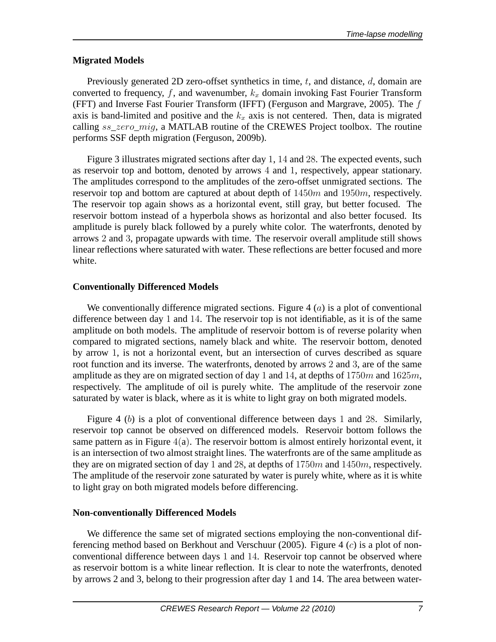# **Migrated Models**

Previously generated 2D zero-offset synthetics in time,  $t$ , and distance,  $d$ , domain are converted to frequency, f, and wavenumber,  $k_x$  domain invoking Fast Fourier Transform (FFT) and Inverse Fast Fourier Transform (IFFT) (Ferguson and Margrave, 2005). The f axis is band-limited and positive and the  $k_x$  axis is not centered. Then, data is migrated calling  $ss\_zero\_mig$ , a MATLAB routine of the CREWES Project toolbox. The routine performs SSF depth migration (Ferguson, 2009b).

Figure 3 illustrates migrated sections after day 1, 14 and 28. The expected events, such as reservoir top and bottom, denoted by arrows 4 and 1, respectively, appear stationary. The amplitudes correspond to the amplitudes of the zero-offset unmigrated sections. The reservoir top and bottom are captured at about depth of  $1450m$  and  $1950m$ , respectively. The reservoir top again shows as a horizontal event, still gray, but better focused. The reservoir bottom instead of a hyperbola shows as horizontal and also better focused. Its amplitude is purely black followed by a purely white color. The waterfronts, denoted by arrows 2 and 3, propagate upwards with time. The reservoir overall amplitude still shows linear reflections where saturated with water. These reflections are better focused and more white.

# **Conventionally Differenced Models**

We conventionally difference migrated sections. Figure 4  $(a)$  is a plot of conventional difference between day 1 and 14. The reservoir top is not identifiable, as it is of the same amplitude on both models. The amplitude of reservoir bottom is of reverse polarity when compared to migrated sections, namely black and white. The reservoir bottom, denoted by arrow 1, is not a horizontal event, but an intersection of curves described as square root function and its inverse. The waterfronts, denoted by arrows 2 and 3, are of the same amplitude as they are on migrated section of day 1 and 14, at depths of  $1750m$  and  $1625m$ , respectively. The amplitude of oil is purely white. The amplitude of the reservoir zone saturated by water is black, where as it is white to light gray on both migrated models.

Figure 4 (b) is a plot of conventional difference between days 1 and 28. Similarly, reservoir top cannot be observed on differenced models. Reservoir bottom follows the same pattern as in Figure  $4(a)$ . The reservoir bottom is almost entirely horizontal event, it is an intersection of two almost straight lines. The waterfronts are of the same amplitude as they are on migrated section of day 1 and 28, at depths of  $1750m$  and  $1450m$ , respectively. The amplitude of the reservoir zone saturated by water is purely white, where as it is white to light gray on both migrated models before differencing.

# **Non-conventionally Differenced Models**

We difference the same set of migrated sections employing the non-conventional differencing method based on Berkhout and Verschuur (2005). Figure 4  $(c)$  is a plot of nonconventional difference between days 1 and 14. Reservoir top cannot be observed where as reservoir bottom is a white linear reflection. It is clear to note the waterfronts, denoted by arrows 2 and 3, belong to their progression after day 1 and 14. The area between water-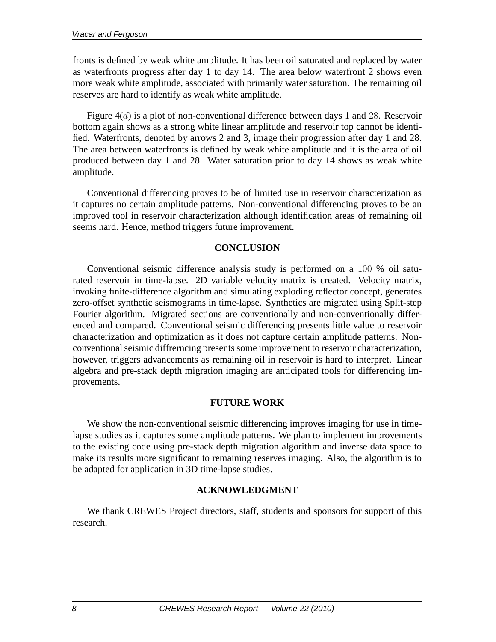fronts is defined by weak white amplitude. It has been oil saturated and replaced by water as waterfronts progress after day 1 to day 14. The area below waterfront 2 shows even more weak white amplitude, associated with primarily water saturation. The remaining oil reserves are hard to identify as weak white amplitude.

Figure 4(d) is a plot of non-conventional difference between days 1 and 28. Reservoir bottom again shows as a strong white linear amplitude and reservoir top cannot be identified. Waterfronts, denoted by arrows 2 and 3, image their progression after day 1 and 28. The area between waterfronts is defined by weak white amplitude and it is the area of oil produced between day 1 and 28. Water saturation prior to day 14 shows as weak white amplitude.

Conventional differencing proves to be of limited use in reservoir characterization as it captures no certain amplitude patterns. Non-conventional differencing proves to be an improved tool in reservoir characterization although identification areas of remaining oil seems hard. Hence, method triggers future improvement.

#### **CONCLUSION**

Conventional seismic difference analysis study is performed on a 100 % oil saturated reservoir in time-lapse. 2D variable velocity matrix is created. Velocity matrix, invoking finite-difference algorithm and simulating exploding reflector concept, generates zero-offset synthetic seismograms in time-lapse. Synthetics are migrated using Split-step Fourier algorithm. Migrated sections are conventionally and non-conventionally differenced and compared. Conventional seismic differencing presents little value to reservoir characterization and optimization as it does not capture certain amplitude patterns. Nonconventional seismic diffrerncing presents some improvement to reservoir characterization, however, triggers advancements as remaining oil in reservoir is hard to interpret. Linear algebra and pre-stack depth migration imaging are anticipated tools for differencing improvements.

## **FUTURE WORK**

We show the non-conventional seismic differencing improves imaging for use in timelapse studies as it captures some amplitude patterns. We plan to implement improvements to the existing code using pre-stack depth migration algorithm and inverse data space to make its results more significant to remaining reserves imaging. Also, the algorithm is to be adapted for application in 3D time-lapse studies.

## **ACKNOWLEDGMENT**

We thank CREWES Project directors, staff, students and sponsors for support of this research.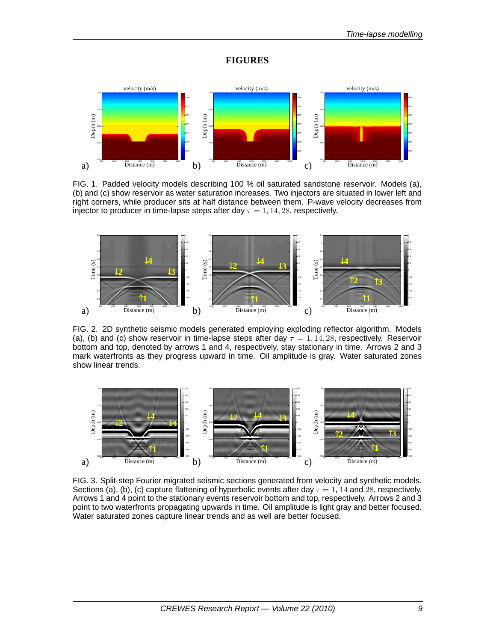#### **FIGURES**



FIG. 1. Padded velocity models describing 100 % oil saturated sandstone reservoir. Models (a), (b) and (c) show reservoir as water saturation increases. Two injectors are situated in lower left and right corners, while producer sits at half distance between them. P-wave velocity decreases from injector to producer in time-lapse steps after day  $\tau = 1, 14, 28$ , respectively.



FIG. 2. 2D synthetic seismic models generated employing exploding reflector algorithm. Models (a), (b) and (c) show reservoir in time-lapse steps after day  $\tau = 1, 14, 28$ , respectively. Reservoir bottom and top, denoted by arrows 1 and 4, respectively, stay stationary in time. Arrows 2 and 3 mark waterfronts as they progress upward in time. Oil amplitude is gray. Water saturated zones show linear trends.



FIG. 3. Split-step Fourier migrated seismic sections generated from velocity and synthetic models. Sections (a), (b), (c) capture flattening of hyperbolic events after day  $\tau = 1$ , 14 and 28, respectively. Arrows 1 and 4 point to the stationary events reservoir bottom and top, respectively. Arrows 2 and 3 point to two waterfronts propagating upwards in time. Oil amplitude is light gray and better focused. Water saturated zones capture linear trends and as well are better focused.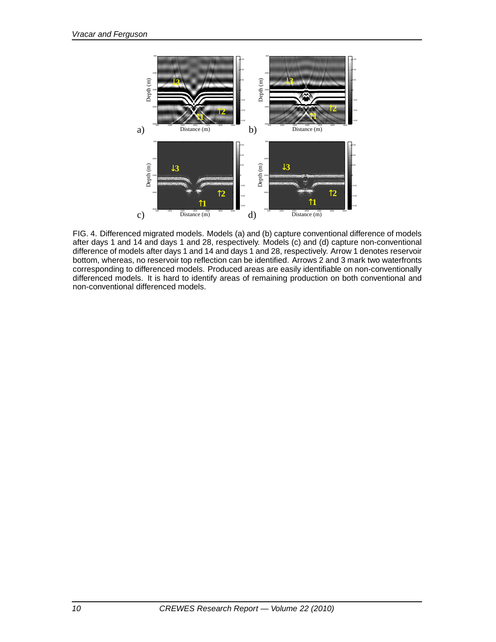

FIG. 4. Differenced migrated models. Models (a) and (b) capture conventional difference of models after days 1 and 14 and days 1 and 28, respectively. Models (c) and (d) capture non-conventional difference of models after days 1 and 14 and days 1 and 28, respectively. Arrow 1 denotes reservoir bottom, whereas, no reservoir top reflection can be identified. Arrows 2 and 3 mark two waterfronts corresponding to differenced models. Produced areas are easily identifiable on non-conventionally differenced models. It is hard to identify areas of remaining production on both conventional and non-conventional differenced models.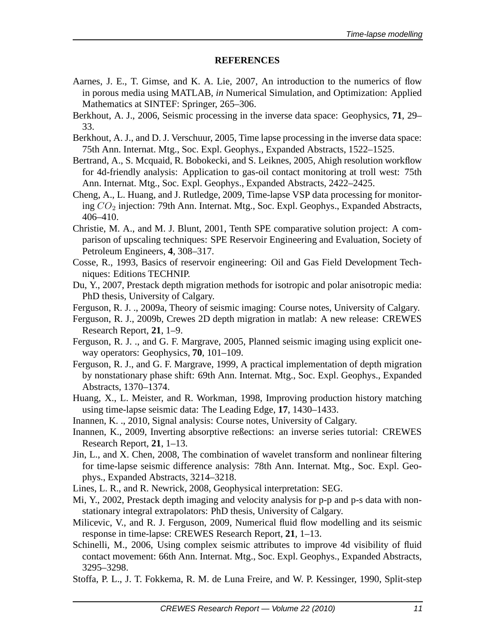#### **REFERENCES**

- Aarnes, J. E., T. Gimse, and K. A. Lie, 2007, An introduction to the numerics of flow in porous media using MATLAB, *in* Numerical Simulation, and Optimization: Applied Mathematics at SINTEF: Springer, 265–306.
- Berkhout, A. J., 2006, Seismic processing in the inverse data space: Geophysics, **71**, 29– 33.
- Berkhout, A. J., and D. J. Verschuur, 2005, Time lapse processing in the inverse data space: 75th Ann. Internat. Mtg., Soc. Expl. Geophys., Expanded Abstracts, 1522–1525.
- Bertrand, A., S. Mcquaid, R. Bobokecki, and S. Leiknes, 2005, Ahigh resolution workflow for 4d-friendly analysis: Application to gas-oil contact monitoring at troll west: 75th Ann. Internat. Mtg., Soc. Expl. Geophys., Expanded Abstracts, 2422–2425.
- Cheng, A., L. Huang, and J. Rutledge, 2009, Time-lapse VSP data processing for monitoring  $CO<sub>2</sub>$  injection: 79th Ann. Internat. Mtg., Soc. Expl. Geophys., Expanded Abstracts, 406–410.
- Christie, M. A., and M. J. Blunt, 2001, Tenth SPE comparative solution project: A comparison of upscaling techniques: SPE Reservoir Engineering and Evaluation, Society of Petroleum Engineers, **4**, 308–317.
- Cosse, R., 1993, Basics of reservoir engineering: Oil and Gas Field Development Techniques: Editions TECHNIP.
- Du, Y., 2007, Prestack depth migration methods for isotropic and polar anisotropic media: PhD thesis, University of Calgary.
- Ferguson, R. J. ., 2009a, Theory of seismic imaging: Course notes, University of Calgary.
- Ferguson, R. J., 2009b, Crewes 2D depth migration in matlab: A new release: CREWES Research Report, **21**, 1–9.
- Ferguson, R. J. ., and G. F. Margrave, 2005, Planned seismic imaging using explicit oneway operators: Geophysics, **70**, 101–109.
- Ferguson, R. J., and G. F. Margrave, 1999, A practical implementation of depth migration by nonstationary phase shift: 69th Ann. Internat. Mtg., Soc. Expl. Geophys., Expanded Abstracts, 1370–1374.
- Huang, X., L. Meister, and R. Workman, 1998, Improving production history matching using time-lapse seismic data: The Leading Edge, **17**, 1430–1433.
- Inannen, K. ., 2010, Signal analysis: Course notes, University of Calgary.
- Inannen, K., 2009, Inverting absorptive reßections: an inverse series tutorial: CREWES Research Report, **21**, 1–13.
- Jin, L., and X. Chen, 2008, The combination of wavelet transform and nonlinear filtering for time-lapse seismic difference analysis: 78th Ann. Internat. Mtg., Soc. Expl. Geophys., Expanded Abstracts, 3214–3218.
- Lines, L. R., and R. Newrick, 2008, Geophysical interpretation: SEG.
- Mi, Y., 2002, Prestack depth imaging and velocity analysis for p-p and p-s data with nonstationary integral extrapolators: PhD thesis, University of Calgary.
- Milicevic, V., and R. J. Ferguson, 2009, Numerical fluid flow modelling and its seismic response in time-lapse: CREWES Research Report, **21**, 1–13.
- Schinelli, M., 2006, Using complex seismic attributes to improve 4d visibility of fluid contact movement: 66th Ann. Internat. Mtg., Soc. Expl. Geophys., Expanded Abstracts, 3295–3298.
- Stoffa, P. L., J. T. Fokkema, R. M. de Luna Freire, and W. P. Kessinger, 1990, Split-step